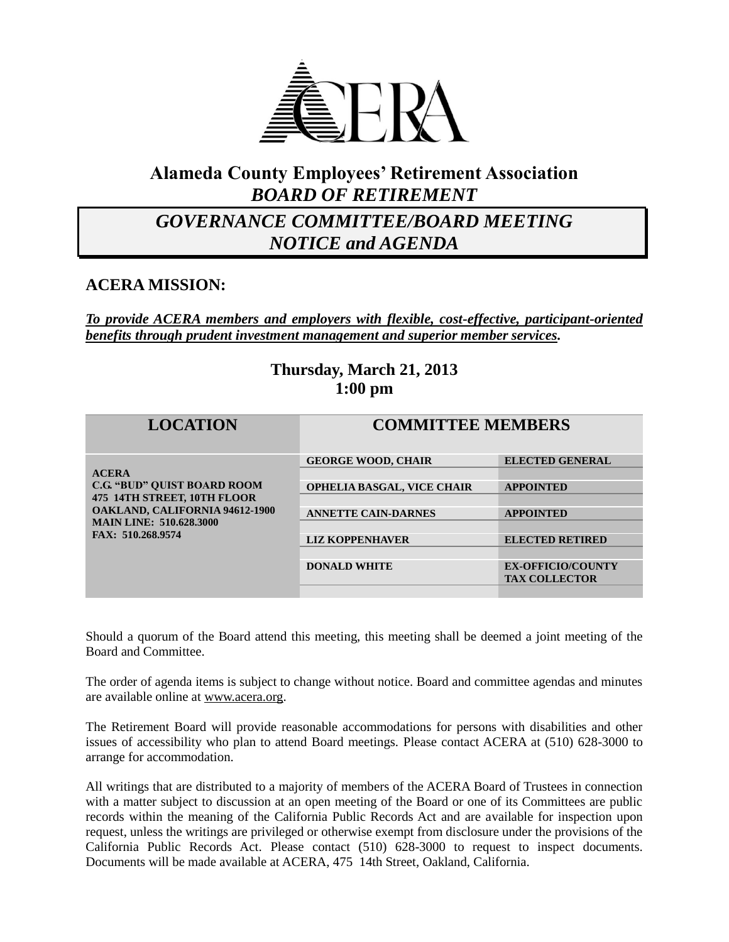

## **Alameda County Employees' Retirement Association** *BOARD OF RETIREMENT*

## *GOVERNANCE COMMITTEE/BOARD MEETING NOTICE and AGENDA*

### **ACERA MISSION:**

*To provide ACERA members and employers with flexible, cost-effective, participant-oriented benefits through prudent investment management and superior member services.*

### **Thursday, March 21, 2013 1:00 pm**

| <b>LOCATION</b>                                                                                                                                                                   | <b>COMMITTEE MEMBERS</b>          |                                                  |
|-----------------------------------------------------------------------------------------------------------------------------------------------------------------------------------|-----------------------------------|--------------------------------------------------|
| <b>ACERA</b><br><b>C.G. "BUD" OUIST BOARD ROOM</b><br>475 14TH STREET, 10TH FLOOR<br><b>OAKLAND, CALIFORNIA 94612-1900</b><br><b>MAIN LINE: 510.628.3000</b><br>FAX: 510.268.9574 | <b>GEORGE WOOD, CHAIR</b>         | <b>ELECTED GENERAL</b>                           |
|                                                                                                                                                                                   | <b>OPHELIA BASGAL, VICE CHAIR</b> | <b>APPOINTED</b>                                 |
|                                                                                                                                                                                   | <b>ANNETTE CAIN-DARNES</b>        | <b>APPOINTED</b>                                 |
|                                                                                                                                                                                   | <b>LIZ KOPPENHAVER</b>            | <b>ELECTED RETIRED</b>                           |
|                                                                                                                                                                                   |                                   |                                                  |
|                                                                                                                                                                                   | <b>DONALD WHITE</b>               | <b>EX-OFFICIO/COUNTY</b><br><b>TAX COLLECTOR</b> |
|                                                                                                                                                                                   |                                   |                                                  |

Should a quorum of the Board attend this meeting, this meeting shall be deemed a joint meeting of the Board and Committee.

The order of agenda items is subject to change without notice. Board and committee agendas and minutes are available online at [www.acera.org.](http://www.acera.org/)

The Retirement Board will provide reasonable accommodations for persons with disabilities and other issues of accessibility who plan to attend Board meetings. Please contact ACERA at (510) 628-3000 to arrange for accommodation.

All writings that are distributed to a majority of members of the ACERA Board of Trustees in connection with a matter subject to discussion at an open meeting of the Board or one of its Committees are public records within the meaning of the California Public Records Act and are available for inspection upon request, unless the writings are privileged or otherwise exempt from disclosure under the provisions of the California Public Records Act. Please contact (510) 628-3000 to request to inspect documents. Documents will be made available at ACERA, 475 14th Street, Oakland, California.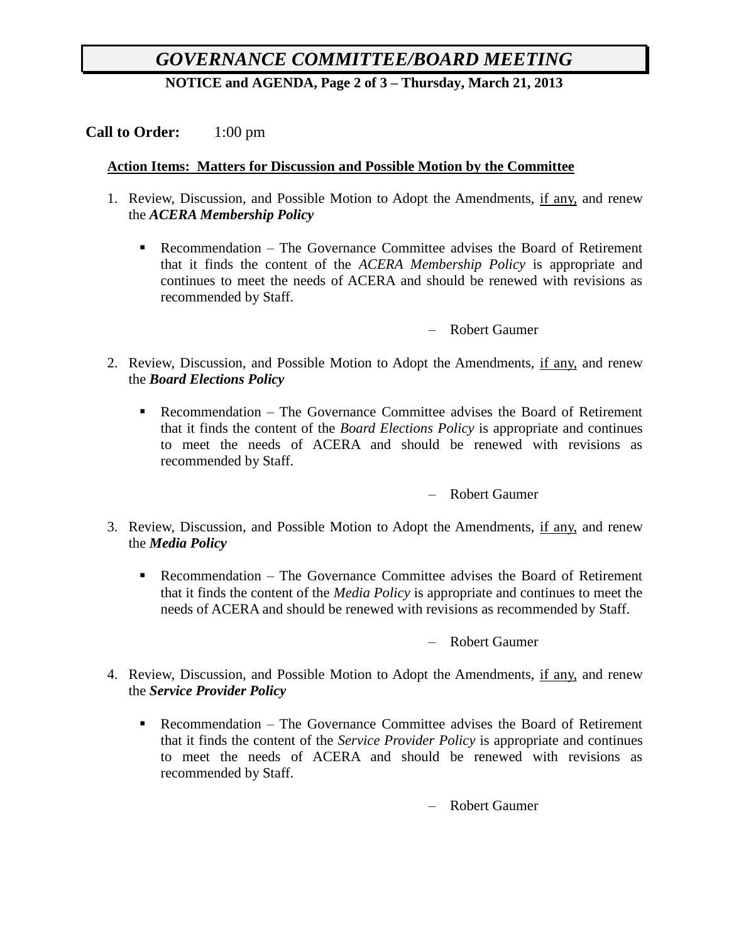# *GOVERNANCE COMMITTEE/BOARD MEETING*

**NOTICE and AGENDA, Page 2 of 3 – Thursday, March 21, 2013**

#### **Call to Order:** 1:00 pm

#### **Action Items: Matters for Discussion and Possible Motion by the Committee**

- 1. Review, Discussion, and Possible Motion to Adopt the Amendments, if any, and renew the *ACERA Membership Policy*
	- Recommendation The Governance Committee advises the Board of Retirement that it finds the content of the *ACERA Membership Policy* is appropriate and continues to meet the needs of ACERA and should be renewed with revisions as recommended by Staff.

– Robert Gaumer

- 2. Review, Discussion, and Possible Motion to Adopt the Amendments, if any, and renew the *Board Elections Policy*
	- Recommendation The Governance Committee advises the Board of Retirement that it finds the content of the *Board Elections Policy* is appropriate and continues to meet the needs of ACERA and should be renewed with revisions as recommended by Staff.

– Robert Gaumer

- 3. Review, Discussion, and Possible Motion to Adopt the Amendments, if any, and renew the *Media Policy*
	- Recommendation The Governance Committee advises the Board of Retirement that it finds the content of the *Media Policy* is appropriate and continues to meet the needs of ACERA and should be renewed with revisions as recommended by Staff.

– Robert Gaumer

- 4. Review, Discussion, and Possible Motion to Adopt the Amendments, if any, and renew the *Service Provider Policy*
	- Recommendation The Governance Committee advises the Board of Retirement that it finds the content of the *Service Provider Policy* is appropriate and continues to meet the needs of ACERA and should be renewed with revisions as recommended by Staff.

– Robert Gaumer